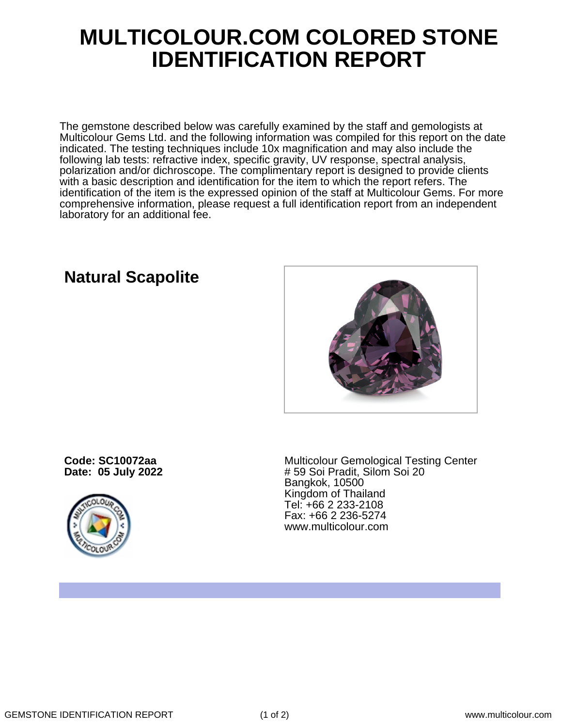## **MULTICOLOUR.COM COLORED STONE IDENTIFICATION REPORT**

The gemstone described below was carefully examined by the staff and gemologists at Multicolour Gems Ltd. and the following information was compiled for this report on the date indicated. The testing techniques include 10x magnification and may also include the following lab tests: refractive index, specific gravity, UV response, spectral analysis, polarization and/or dichroscope. The complimentary report is designed to provide clients with a basic description and identification for the item to which the report refers. The identification of the item is the expressed opinion of the staff at Multicolour Gems. For more comprehensive information, please request a full identification report from an independent laboratory for an additional fee.

## **Natural Scapolite**



**Code: SC10072aa Date: 05 July 2022**



Multicolour Gemological Testing Center # 59 Soi Pradit, Silom Soi 20 Bangkok, 10500 Kingdom of Thailand Tel: +66 2 233-2108 Fax: +66 2 236-5274 www.multicolour.com